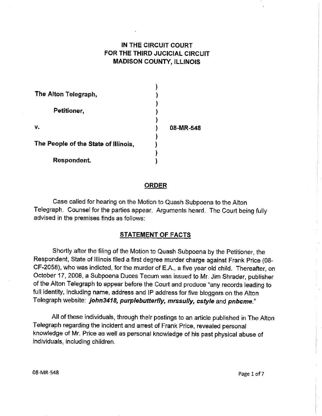## IN THE CIRCUIT GOURT FOR THE THIRD JUCICIAL CIRCUIT MADISON COUNTY, ILLINOIS

| The Alton Telegraph,                 |           |
|--------------------------------------|-----------|
|                                      |           |
| Petitioner,                          |           |
|                                      |           |
| v.                                   | 08-MR-548 |
|                                      |           |
| The People of the State of Illinois, |           |
|                                      |           |
| Respondent.                          |           |

### **ORDER**

Case called for hearing on the Motion to Quash Subpoena to the Alton Telegraph. Counsel for the parties appear. Arguments heard. The Court being fully advised in the premises finds as follows:

### STATEMENT OF FACTS

Shortly after the filing of the Motion to Quash Subpoena by the Petitioner, the Respondent, State of lllinois filed a first degree murder charge against Frank Price (08- CF-2058), who was indicted, for the murder of E.A., a five year old child. Thereafter, on October 17, 2008, a Subpoena Duces Tecum was issued to Mr. Jim Shrader, publisher of the Alton Telegraph to appear before the Court and produce "any records leading to full identity, including name, address and lP address for five bloggers on the Alton Telegraph website: john3418, purplebutterfly, mrssully, cstyle and pnbcme."

All of these individuals, through their postings to an article published in The Alton Telegraph regarding the incident and arrest of Frank Price, revealed personal knowledge of Mr. Price as well as personal knowledge of his past physical abuse of individuals, including children.

08-MR-548 Page 1 of 7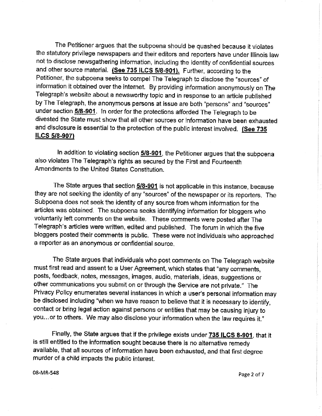The Petitioner argues that the subpoena shoutd be quashed because it violates the statutory privilege newspapers and their editors and reporters have under Illinois law not to disclose newsgathering information, including the identity of confidential sources and other source material. (See 735 ILCS 5/8-901). Further, according to the Petitioner, the subpoena seeks to compel The Telegraph to disclose the "sources" of information it obtained over the internet. By providing informetion anonymously on The Telegraph's website about â newsworthy topic and in response to an article pubfished by The Telegraph, the anonymous persons at issue are both "persons" and "sources" under section 5/8-901. In order for the protections afforded The Telegraph to be divested the Slate must show that alf other sources or information have been exhausted and disclosure is essential to the protection of the public interest involved. (See 735 ILCS 5/8-907)

In addition to violating section 5/8-901, the Petitioner argues that the subpoena also violates The Telegraph's rights as secured by the First and Fourteenth Amendments to the United States Constitution.

The State argues that section 5/8-901 is not applicable in this instance, because they are not seeking the identity of any "sources" of the newspaper or its reporters. The Subpoena does not seek the identity of any source from whom information for the articles was obtained. The subpoena seeks identifying information for bloggers who voluntarily left comments on the website. These comments were posted after The Telegraph's articles were written, edited and published. The forum in which the five bloggers posted their comments is public. These were not individuals who approached a reporter as an anonymous or confidential source.

The State argues that individuals who post comments on The Telegraph website must first read and assent to a User Agreement, which states that "any comments, posts, feedback, notes, messages, images, audio, materials, ideas, suggestions or other communications you submit on or through the Service are not private." The Privacy Policy enumerates several instances in which a user's personal information may be disclosed including "when we have reason to believe that it is necessary to identify, contact or bring legal action against persons or entities that may be causing injury to you...or to others. We may also disclose your information when the lew requires it,"

Finally, the State argues that if the privilege exists under 735 ILCS 8-901, that it is still entitled to the information sought because there is no alternative remedy available, that all sources of information have been exhausted, and that first degree murder of a child impacts the public interest.

08-MR-548 Page 2 of <sup>7</sup>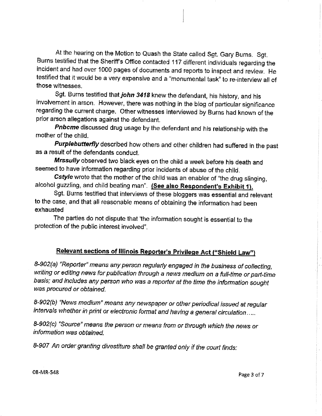At the hearing on the Motion to Quash the State called Sgt. Gary Burns. Sgt. Burns testified that the Sheriff's Office contacted 117 different individuals regarding the incident and had over 1000 pages of documents and reports to inspect and review. He testified that it would be a very expensive and a "monumental task" to re-interview all of those witnesses.

Sgt. Burns testified that john 3418 knew the defendant, his history, and his involvement in arson. However, there was nothing in the blog of particular significance regarding the current charge. Other witnesses interviewed by Burns had known of the prior arson allegations against the defendant.

Pnbcme discussed drug usage by the defendant and his relationship with the mother of the child.

Purplebutterfly described how others and other children had suffered in the past as a result of the defendants conduct.

Mrssully observed two black eyes on the child a week before his death and seemed to have information regarding prior incidents of abuse of the child.

Cstyle wrote that the mother of the child was an enabler of "the drug slinging, alcohol guzzling, and child beating man". (See also Respondent's Exhibit 1).

Sgt. Burns testified that interviews of these bloggers was essential and relevant to the case, and that all reasonable means of obtaining the information had been exhausted

The parties do not dispute that 'the information sought is essential to the protection of the public interest involved".

# Relevant sections of Illinois Reporter's Privilege Act ("Shield Law")

8-902(a) "Reporter" means any person regularly engaged in the business of collecting, writing or editing news for publication through a news medium on a full-time or part-time basis; and includes any person who was a reporter at the time the information sought was procured or obtained.

8-902(b) "News medium" means any newspaper or other periodical issued at regular intervals whether in print or electronic format and having a general circulation.....

8-902(c) "Source" means the person or means from or through which the news or information was obtained.

8-907 An order granting divestiture shall be granted only if the court finds: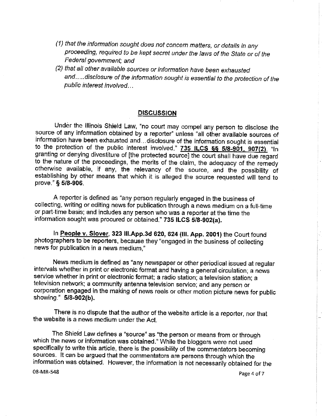- (1) that the information sought does not concern matters, or details in any proceeding, required to be kept secret under the laws of the State or of the Federal government; and
- (2) that all other available sources or information have been exhausted and.....disclosure of the information sought is essential to the protection of the public interest involved...

### **DISCUSSION**

Under the Illinois Shield Law, "no court may compel any person to disclose the source of any information obtained by a reporter" unless "all other available sources of information have been exhausted and ... disclosure of the information sought is essential to the protection of the public interest involved." 735 ILCS §§ 5/8-901, 907(2). "In granting or denying divestiture of [the protected source] the court shall have due regard to the nature of the proceedings, the merits of the claim, the adequacy of the remedy otherwise available, if any, the relevancy of the source, and the possibility of establishing by other means that which it is alleged the source requested will tend to prove." § 5/8-906.

A reporter is defined as "any person regularly engaged in the business of collecting, writing or editing news for publication through a news medium on a full-time or part-time basis; and includes any person who was a reporter at the time the information sought was procured or obtained." 735 ILCS 5/8-902(a).

In People v. Slover, 323 III.App.3d 620, 624 (III. App. 2001) the Court found photographers to be reporters, because they "engaged in the business of collecting news for publication in a news medium."

News medium is defined as "any newspaper or other periodical issued at regular intervals whether in print or electronic format and having a general circulation; a news service whether in print or electronic format; a radio station; a television station; a television network; a community antenna television service; and any person or corporation engaged in the making of news reels or other motion picture news for public showing." 5/8-902(b).

There is no dispute that the author of the website article is a reporter, nor that the website is a news medium under the Act.

The Shield Law defines a "source" as "the person or means from or through which the news or information was obtained." While the bloggers were not used specifically to write this article, there is the possibility of the commentators becoming sources. It can be argued that the commentators are persons through which the information was obtained. However, the information is not necessarily obtained for the

08-MR-548

Page 4 of 7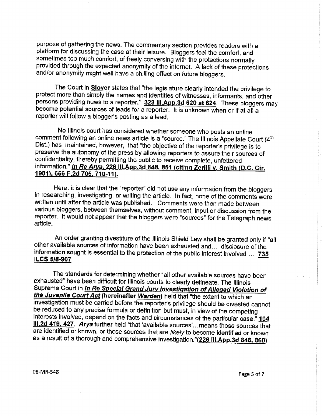purpose of gathering the news. The commentary section provides readers with a platform for discussing the case at their leisure. Bloggers feel the comfort, and sometimes too much comfort, of freely conversing with the protections normally provided through the expected anonymity of the internet. A lack of these protections and/or anonymity might well have a chilling effect on future bloggers.

The Court in **Slover** states that "the legislature clearly intended the privilege to protect more than simply the names and identities of witnesses, informants, and other persons providing news to a reporter." 323 III.App.3d 620 at 624. These bloggers may become potential sources of leads for a reporter. It is unknown when or if at all a reporter will follow a blogger's posting as a lead.

No Illinois court has considered whether someone who posts an online comment following an online news article is a "source." The Illinois Appellate Court (4<sup>th</sup> Dist.) has maintained, however, that "the objective of the reporter's privilege is to preserve the autonomy of the press by allowing reporters to assure their sources of confidentiality, thereby permitting the public to receive complete, unfettered information." In Re Arya, 226 III.App.3d 848, 851 (citing Zerilli v. Smith (D.C. Cir. 1981), 656 F.2d 705, 710-11),

Here, it is clear that the "reporter" did not use any information from the bloggers in researching, investigating, or writing the article. In fact, none of the comments were written until after the article was published. Comments were then made between various bloggers, between themselves, without comment, input or discussion from the reporter. It would not appear that the bloggers were "sources" for the Telegraph news article.

An order granting divestiture of the Illinois Shield Law shall be granted only if "all other available sources of information have been exhausted and... disclosure of the information sought is essential to the protection of the public interest involved ... 735 ILCS 5/8-907

The standards for determining whether "all other available sources have been exhausted" have been difficult for Illinois courts to clearly delineate. The Illinois Supreme Court in *In Re Special Grand Jury Investigation of Alleged Violation of* the Juvenile Court Act (hereinafter Warden) held that "the extent to which an investigation must be carried before the reporter's privilege should be divested cannot be reduced to any precise formula or definition but must, in view of the competing interests involved, depend on the facts and circumstances of the particular case." 104 III.2d 419, 427. Arya further held "that 'available sources'...means those sources that are identified or known, or those sources that are likely to become identified or known as a result of a thorough and comprehensive investigation."(226 III.App.3d 848, 860)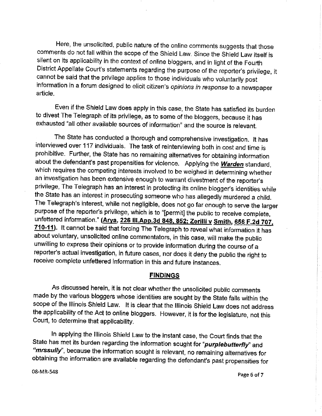Here, the unsolicited, public nature of the online comments suggests that those comments do not fall within the scope of the Shield Law. Since the Shield Law itself is silent on its applicability in the context of online bloggers, and in light of the Fourth District Appellate Court's statements regarding the purpose of the reporter's privilege, it cannot be said that the privilege applies to those individuals who voluntarily post information in a forum designed to elicit citizen's opinions in response to a newspaper article.

Even if the Shield Law does apply in this case, the State has satisfied its burden to divest The Telegraph of its privilege, as to some of the bloggers, because it has exhausted "all other available sources of information" and the source is relevant.

The State has conducted a thorough and comprehensive investigation. It has interviewed over 117 individuals. The task of reinterviewing both in cost and time is prohibitive. Further, the State has no remaining alternatives for obtaining information about the defendant's past propensities for violence. Applying the Warden standard, which requires the competing interests involved to be weighed in determining whether an investigation has been extensive enough to warrant divestment of the reporter's privilege, The Telegraph has an interest in protecting its online blogger's identities while the State has an interest in prosecuting someone who has allegedly murdered a child. The Telegraph's interest, while not negligible, does not go far enough to serve the larger purpose of the reporter's privilege, which is to "[permit] the public to receive complete, unfettered information." (Arya, 226 III, App. 3d 848, 852; Zerilli v Smith, 656 F.2d 707, 710-11). It cannot be said that forcing The Telegraph to reveal what information it has about voluntary, unsolicited online commentators, in this case, will make the public unwilling to express their opinions or to provide information during the course of a reporter's actual investigation, in future cases, nor does it deny the public the right to receive complete unfettered information in this and future instances.

### **FINDINGS**

As discussed herein, it is not clear whether the unsolicited public comments made by the various bloggers whose identities are sought by the State falls within the scope of the Illinois Shield Law. It is clear that the Illinois Shield Law does not address the applicability of the Act to online bloggers. However, it is for the legislature, not this Court, to determine that applicability.

In applying the Illinois Shield Law to the instant case, the Court finds that the State has met its burden regarding the information sought for "purplebutterfly" and "mrssully", because the information sought is relevant, no remaining alternatives for obtaining the information are available regarding the defendant's past propensities for

08-MR-548

Page 6 of 7